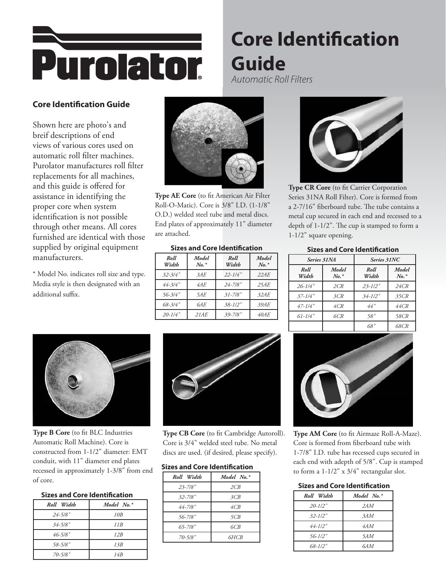

# **Core Identification Guide** *Automatic Roll Filters*

## **Core Identification Guide**

Shown here are photo's and breif descriptions of end views of various cores used on automatic roll filter machines. Purolator manufactures roll filter replacements for all machines, and this guide is offered for assistance in identifying the proper core when system identification is not possible through other means. All cores furnished are identical with those supplied by original equipment manufacturers.

\* Model No. indicates roll size and type. Media style is then designated with an additional suffix.



**Type AE Core** (to fit American Air Filter Roll-O-Matic). Core is 3/8" I.D. (1-1/8" O.D.) welded steel tube and metal discs. End plates of approximately 11" diameter are attached.

#### **Sizes and Core Identification Sizes and Core Identification**

| Roll<br>Width | Model<br>$No.*$ | Roll<br>Width | Model<br>$No.*$ |
|---------------|-----------------|---------------|-----------------|
| $32 - 3/4$ "  | 3AF             | $22 - 1/4"$   | 22AF            |
| 44-3/4"       | 4AE             | $24 - 7/8"$   | 25AE            |
| $56 - 3/4$ "  | 5AE             | $31 - 7/8$ "  | 32AF            |
| $68 - 3/4$ "  | 6AE             | $.38 - 1/2$ " | 39AE            |
| $20 - 1/4$ "  | 21AE            | $39 - 7/8$ "  | 40AE            |



**Type CR Core** (to fit Carrier Corporation Series 31NA Roll Filter). Core is formed from a 2-7/16" fiberboard tube. The tube contains a metal cup secured in each end and recessed to a depth of 1-1/2". The cup is stamped to form a 1-1/2" square opening.

| .             |                  |               |                  |
|---------------|------------------|---------------|------------------|
| Series 31NA   |                  | Series 31NC   |                  |
| Roll<br>Width | Model<br>$N_o.*$ | Roll<br>Width | Model<br>$N_o.*$ |
| $26 - 1/4$ "  | 2CR              | $23 - 1/2"$   | 24CR             |
| $37 - 1/4$ "  | 3CR              | $34 - 1/2"$   | 35CR             |
| $47 - 1/4$ "  | 4CR              | 44"           | 44CR             |
| $61 - 1/4$ "  | 6CR              | 58"           | 58CR             |
|               |                  | 68"           | 68CR             |



**Type B Core** (to fit BLC Industries Automatic Roll Machine). Core is constructed from 1-1/2" diameter: EMT conduit, with 11" diameter end plates recessed in approximately 1-3/8" from end of core.

### **Sizes and Core Identification**

| Roll Width    | Model $No.*$    |
|---------------|-----------------|
| $24 - 5/8"$   | 10 <sub>B</sub> |
| $.34 - 5/8$ " | 11R             |
| $46 - 5/8$ "  | 12B             |
| 58-5/8"       | 13B             |
| $70 - 5/8"$   | 14 <sub>R</sub> |



**Type CB Core** (to fit Cambridge Autoroll). Core is 3/4" welded steel tube. No metal discs are used. (if desired, please specify).

#### **Sizes and Core Identification**

| Roll Width   | Model $No.*$ |
|--------------|--------------|
| $23 - 7/8"$  | 2CB          |
| $32 - 7/8"$  | 3CB          |
| $44 - 7/8"$  | 4CB          |
| $56 - 7/8$ " | 5CB          |
| $65 - 7/8"$  | 6CB          |
| 70-5/8"      | 6HCB         |



**Type AM Core** (to fit Airmaze Roll-A-Maze). Core is formed from fiberboard tube with 1-7/8" I.D. tube has recessed cups secured in each end with adepth of 5/8". Cup is stamped to form a 1-1/2" x 3/4" rectangular slot.

#### **Sizes and Core Identification**

| Roll Width  | Model No. $*$ |
|-------------|---------------|
| $20 - 1/2"$ | 2AM           |
| $32 - 1/2"$ | 3AM           |
| $44 - 112"$ | 4AM           |
| $56 - 1/2"$ | 5AM           |
| $68 - 1/2"$ | 6AM           |